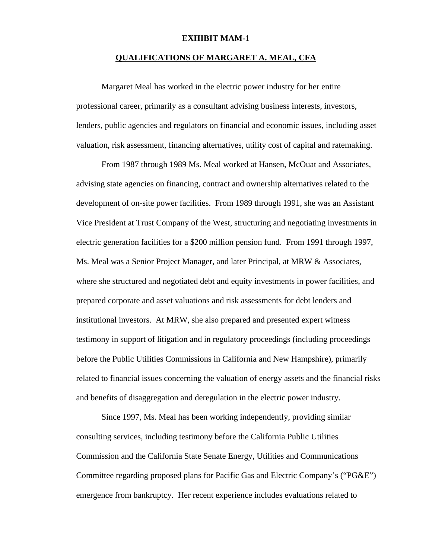## **QUALIFICATIONS OF MARGARET A. MEAL, CFA**

 Margaret Meal has worked in the electric power industry for her entire professional career, primarily as a consultant advising business interests, investors, lenders, public agencies and regulators on financial and economic issues, including asset valuation, risk assessment, financing alternatives, utility cost of capital and ratemaking.

 From 1987 through 1989 Ms. Meal worked at Hansen, McOuat and Associates, advising state agencies on financing, contract and ownership alternatives related to the development of on-site power facilities. From 1989 through 1991, she was an Assistant Vice President at Trust Company of the West, structuring and negotiating investments in electric generation facilities for a \$200 million pension fund. From 1991 through 1997, Ms. Meal was a Senior Project Manager, and later Principal, at MRW & Associates, where she structured and negotiated debt and equity investments in power facilities, and prepared corporate and asset valuations and risk assessments for debt lenders and institutional investors. At MRW, she also prepared and presented expert witness testimony in support of litigation and in regulatory proceedings (including proceedings before the Public Utilities Commissions in California and New Hampshire), primarily related to financial issues concerning the valuation of energy assets and the financial risks and benefits of disaggregation and deregulation in the electric power industry.

 Since 1997, Ms. Meal has been working independently, providing similar consulting services, including testimony before the California Public Utilities Commission and the California State Senate Energy, Utilities and Communications Committee regarding proposed plans for Pacific Gas and Electric Company's ("PG&E") emergence from bankruptcy. Her recent experience includes evaluations related to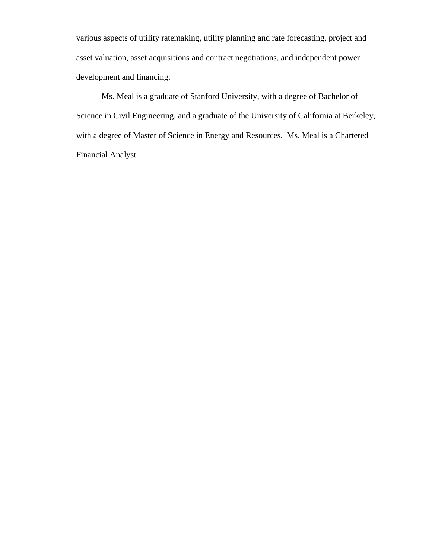various aspects of utility ratemaking, utility planning and rate forecasting, project and asset valuation, asset acquisitions and contract negotiations, and independent power development and financing.

Ms. Meal is a graduate of Stanford University, with a degree of Bachelor of Science in Civil Engineering, and a graduate of the University of California at Berkeley, with a degree of Master of Science in Energy and Resources. Ms. Meal is a Chartered Financial Analyst.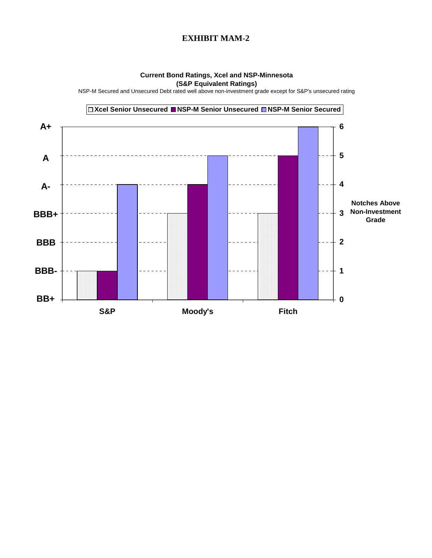## **Current Bond Ratings, Xcel and NSP-Minnesota (S&P Equivalent Ratings)**

NSP-M Secured and Unsecured Debt rated well above non-investment grade except for S&P's unsecured rating

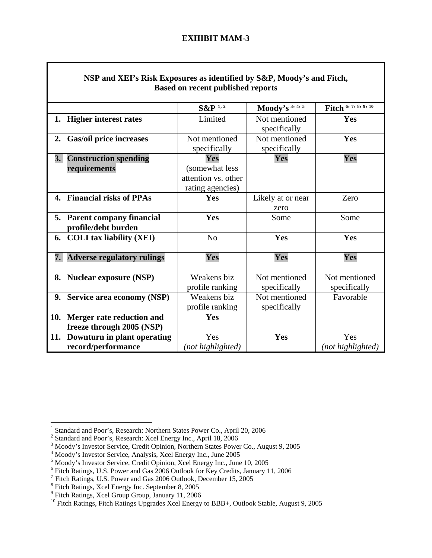| NSP and XEI's Risk Exposures as identified by S&P, Moody's and Fitch, | <b>Based on recent published reports</b>                         |                               |                                  |
|-----------------------------------------------------------------------|------------------------------------------------------------------|-------------------------------|----------------------------------|
|                                                                       | $S\&P^{1,2}$                                                     | Moody's $3, 4, 5$             | Fitch $^{6,7,\overline{8,9,10}}$ |
| 1. Higher interest rates                                              | Limited                                                          | Not mentioned<br>specifically | Yes                              |
| Gas/oil price increases<br>2.                                         | Not mentioned<br>specifically                                    | Not mentioned<br>specifically | Yes                              |
| 3.<br><b>Construction spending</b><br>requirements                    | Yes<br>(somewhat less<br>attention vs. other<br>rating agencies) | Yes                           | Yes                              |
| <b>Financial risks of PPAs</b><br>4.                                  | Yes                                                              | Likely at or near<br>zero     | Zero                             |
| 5. Parent company financial<br>profile/debt burden                    | Yes                                                              | Some                          | Some                             |
| 6. COLI tax liability (XEI)                                           | N <sub>o</sub>                                                   | Yes                           | Yes                              |
| <b>Adverse regulatory rulings</b><br>7.                               | Yes                                                              | Yes                           | Yes                              |
| <b>Nuclear exposure (NSP)</b><br>8.                                   | Weakens biz<br>profile ranking                                   | Not mentioned<br>specifically | Not mentioned<br>specifically    |
| 9. Service area economy (NSP)                                         | Weakens biz<br>profile ranking                                   | Not mentioned<br>specifically | Favorable                        |
| Merger rate reduction and<br>10.<br>freeze through 2005 (NSP)         | Yes                                                              |                               |                                  |
| Downturn in plant operating<br>11.<br>record/performance              | Yes<br>(not highlighted)                                         | Yes                           | Yes<br>(not highlighted)         |

Г

<sup>&</sup>lt;sup>1</sup> Standard and Poor's, Research: Northern States Power Co., April 20, 2006<sup>2</sup><br><sup>2</sup> Standard and Poor's, Research: Xcel Energy Inc., April 18, 2006<sup>3</sup><br><sup>3</sup> Moody's Investor Service, Credit Opinion, Northern States Power Co.

<sup>&</sup>lt;sup>3</sup> Moody's Investor Service, Credit Opinion, Northern States Power Co., August 9, 2005<br><sup>4</sup> Moody's Investor Service, Analysis, Xcel Energy Inc., June 2005<br><sup>5</sup> Moody's Investor Service, Credit Opinion, Xcel Energy Inc., Ju

<sup>&</sup>lt;sup>6</sup> Fitch Ratings, U.S. Power and Gas 2006 Outlook for Key Credits, January 11, 2006

<sup>7</sup> Fitch Ratings, U.S. Power and Gas 2006 Outlook, December 15, 2005 8

<sup>&</sup>lt;sup>8</sup> Fitch Ratings, Xcel Energy Inc. September 8, 2005<br><sup>9</sup> Fitch Ratings, Xcel Group Group, January 11, 2006

<span id="page-3-9"></span><span id="page-3-8"></span><span id="page-3-7"></span><span id="page-3-6"></span><span id="page-3-5"></span><span id="page-3-4"></span><span id="page-3-3"></span><span id="page-3-2"></span><span id="page-3-1"></span><span id="page-3-0"></span><sup>&</sup>lt;sup>10</sup> Fitch Ratings, Fitch Ratings Upgrades Xcel Energy to BBB+, Outlook Stable, August 9, 2005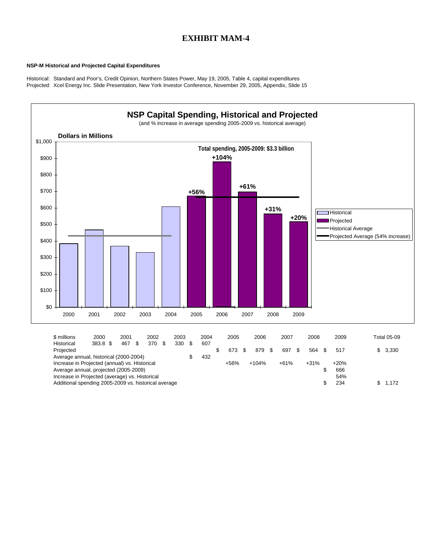#### **NSP-M Historical and Projected Capital Expenditures**

Historical: Standard and Poor's, Credit Opinion, Northern States Power, May 19, 2005, Table 4, capital expenditures Projected: Xcel Energy Inc. Slide Presentation, New York Investor Conference, November 29, 2005, Appendix, Slide 15



Additional spending 2005-2009 vs. historical average  $$ 1,172$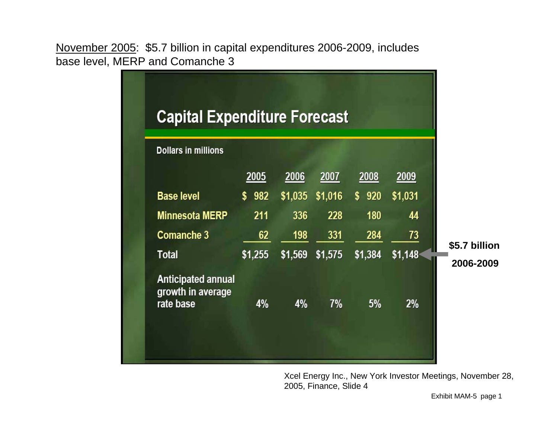November 2005: \$5.7 billion in capital expenditures 2006-2009, includes base level, MERP and Comanche 3



Xcel Energy Inc., New York Investor Meetings, November 28, 2005, Finance, Slide 4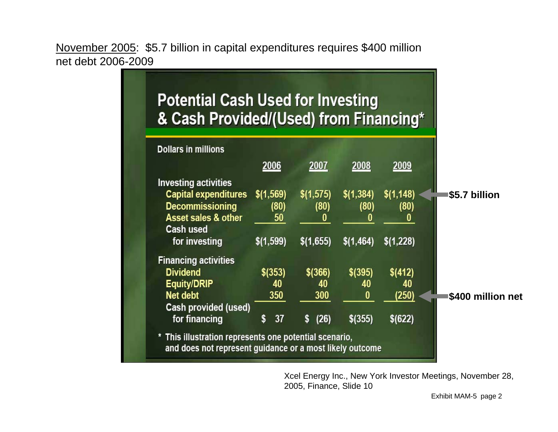November 2005: \$5.7 billion in capital expenditures requires \$400 million net debt 2006-2009

# **Potential Cash Used for Investing** & Cash Provided/(Used) from Financing\*



Xcel Energy Inc., New York Investor Meetings, November 28, 2005, Finance, Slide 10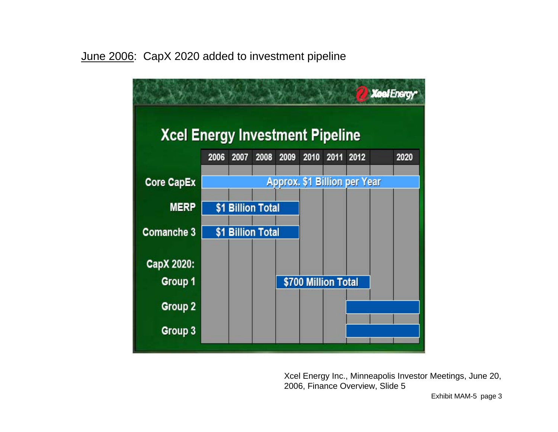June 2006: CapX 2020 added to investment pipeline



Xcel Energy Inc., Minneapolis Investor Meetings, June 20, 2006, Finance Overview, Slide 5

Exhibit MAM-5 page 3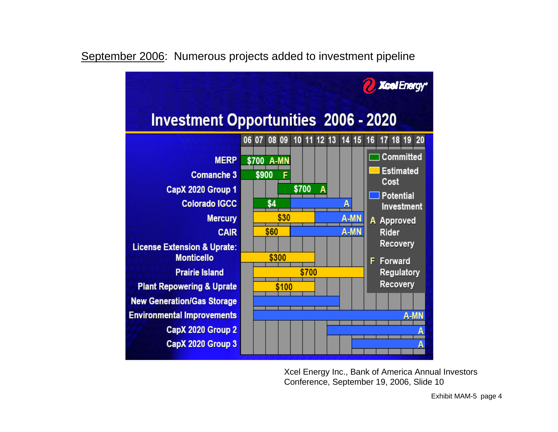# September 2006: Numerous projects added to investment pipeline



Xcel Energy Inc., Bank of America Annual Investors Conference, September 19, 2006, Slide 10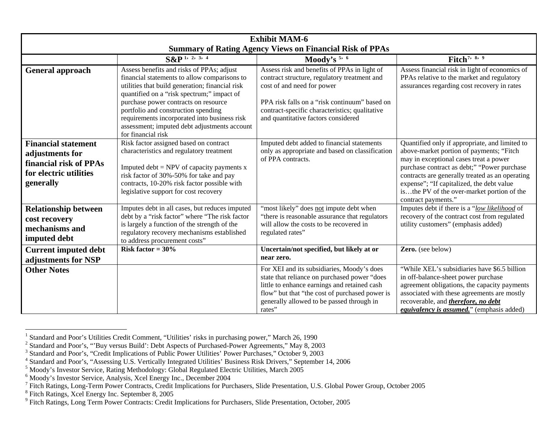| <b>Exhibit MAM-6</b><br><b>Summary of Rating Agency Views on Financial Risk of PPAs</b>                        |                                                                                                                                                                                                                                                                                                                                                                                                 |                                                                                                                                                                                                                                                                      |                                                                                                                                                                                                                                                                                                                                                          |  |  |  |  |  |  |
|----------------------------------------------------------------------------------------------------------------|-------------------------------------------------------------------------------------------------------------------------------------------------------------------------------------------------------------------------------------------------------------------------------------------------------------------------------------------------------------------------------------------------|----------------------------------------------------------------------------------------------------------------------------------------------------------------------------------------------------------------------------------------------------------------------|----------------------------------------------------------------------------------------------------------------------------------------------------------------------------------------------------------------------------------------------------------------------------------------------------------------------------------------------------------|--|--|--|--|--|--|
|                                                                                                                | $S\&P^{1,2,3,4}$                                                                                                                                                                                                                                                                                                                                                                                | Moody's 5, 6                                                                                                                                                                                                                                                         | Fitch <sup>7, <math>\overline{8, 9}</math></sup>                                                                                                                                                                                                                                                                                                         |  |  |  |  |  |  |
| <b>General approach</b>                                                                                        | Assess benefits and risks of PPAs; adjust<br>financial statements to allow comparisons to<br>utilities that build generation; financial risk<br>quantified on a "risk spectrum;" impact of<br>purchase power contracts on resource<br>portfolio and construction spending<br>requirements incorporated into business risk<br>assessment; imputed debt adjustments account<br>for financial risk | Assess risk and benefits of PPAs in light of<br>contract structure, regulatory treatment and<br>cost of and need for power<br>PPA risk falls on a "risk continuum" based on<br>contract-specific characteristics; qualitative<br>and quantitative factors considered | Assess financial risk in light of economics of<br>PPAs relative to the market and regulatory<br>assurances regarding cost recovery in rates                                                                                                                                                                                                              |  |  |  |  |  |  |
| <b>Financial statement</b><br>adjustments for<br>financial risk of PPAs<br>for electric utilities<br>generally | Risk factor assigned based on contract<br>characteristics and regulatory treatment<br>Imputed $debt = NPV$ of capacity payments x<br>risk factor of 30%-50% for take and pay<br>contracts, 10-20% risk factor possible with<br>legislative support for cost recovery                                                                                                                            | Imputed debt added to financial statements<br>only as appropriate and based on classification<br>of PPA contracts.                                                                                                                                                   | Quantified only if appropriate, and limited to<br>above-market portion of payments; "Fitch<br>may in exceptional cases treat a power<br>purchase contract as debt;" "Power purchase<br>contracts are generally treated as an operating<br>expense"; "If capitalized, the debt value<br>isthe PV of the over-market portion of the<br>contract payments." |  |  |  |  |  |  |
| <b>Relationship between</b><br>cost recovery<br>mechanisms and<br>imputed debt                                 | Imputes debt in all cases, but reduces imputed<br>debt by a "risk factor" where "The risk factor<br>is largely a function of the strength of the<br>regulatory recovery mechanisms established<br>to address procurement costs"                                                                                                                                                                 | "most likely" does not impute debt when<br>"there is reasonable assurance that regulators<br>will allow the costs to be recovered in<br>regulated rates"                                                                                                             | Imputes debt if there is a "low likelihood of<br>recovery of the contract cost from regulated<br>utility customers" (emphasis added)                                                                                                                                                                                                                     |  |  |  |  |  |  |
| <b>Current imputed debt</b><br>adjustments for NSP                                                             | Risk factor = $30\%$                                                                                                                                                                                                                                                                                                                                                                            | Uncertain/not specified, but likely at or<br>near zero.                                                                                                                                                                                                              | Zero. (see below)                                                                                                                                                                                                                                                                                                                                        |  |  |  |  |  |  |
| <b>Other Notes</b>                                                                                             |                                                                                                                                                                                                                                                                                                                                                                                                 | For XEI and its subsidiaries, Moody's does<br>state that reliance on purchased power "does<br>little to enhance earnings and retained cash<br>flow" but that "the cost of purchased power is<br>generally allowed to be passed through in<br>rates"                  | "While XEL's subsidiaries have \$6.5 billion<br>in off-balance-sheet power purchase<br>agreement obligations, the capacity payments<br>associated with these agreements are mostly<br>recoverable, and therefore, no debt<br><i>equivalency is assumed.</i> " (emphasis added)                                                                           |  |  |  |  |  |  |

<span id="page-9-1"></span><span id="page-9-0"></span><sup>&</sup>lt;sup>1</sup> Standard and Poor's Utilities Credit Comment, "Utilities' risks in purchasing power," March 26, 1990<br><sup>2</sup> Standard and Poor's, "'Buy versus Build': Debt Aspects of Purchased-Power Agreements," May 8, 2003

<span id="page-9-3"></span><span id="page-9-2"></span> $^3$  Standard and Poor's, "Credit Implications of Public Power Utilities' Power Purchases," October 9, 2003<br> $^4$  Standard and Poor's, "Assessing U.S. Vertically Integrated Utilities' Business Risk Drivers," September 14,

<span id="page-9-4"></span>

<span id="page-9-6"></span><span id="page-9-5"></span><sup>&</sup>lt;sup>6</sup> Moody's Investor Service, Analysis, Xcel Energy Inc., December 2004<br><sup>7</sup> Fitch Ratings, Long-Term Power Contracts, Credit Implications for Purchasers, Slide Presentation, U.S. Global Power Group, October 2005<br><sup>8</sup> Fitch

<span id="page-9-7"></span>

<span id="page-9-8"></span> $9$  Fitch Ratings, Long Term Power Contracts: Credit Implications for Purchasers, Slide Presentation, October, 2005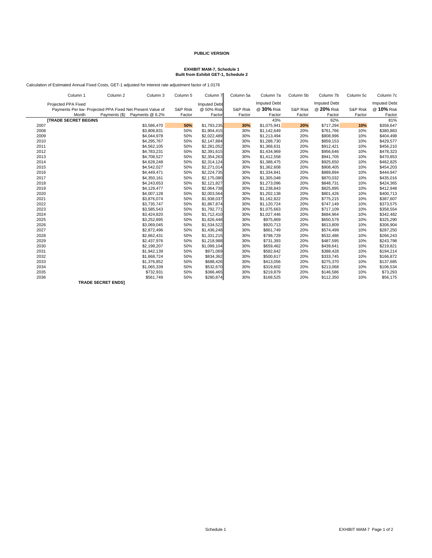#### **PUBLIC VERSION**

# **EXHIBIT MAM-7, Schedule 1 Built from Exhibit GET-1, Schedule 2**

Calculation of Estimated Annual Fixed Costs, GET-1 adjusted for interest rate adjustment factor of 1.0176

|      | Column 1                    | Column 2                                                  | Column 3                      | Column 5 | Column 7            | Column 5a | Column 7a           | Column 5b | Column 7b           | Column 5c | Column 7c           |
|------|-----------------------------|-----------------------------------------------------------|-------------------------------|----------|---------------------|-----------|---------------------|-----------|---------------------|-----------|---------------------|
|      | Projected PPA Fixed         |                                                           |                               |          | <b>Imputed Debt</b> |           | <b>Imputed Debt</b> |           | <b>Imputed Debt</b> |           | <b>Imputed Debt</b> |
|      |                             | Payments Per kw- Projected PPA Fixed Net Present Value of |                               | S&P Risk | @ 50% Risk          | S&P Risk  | @ 30% Risk          | S&P Risk  | @ 20% Risk          | S&P Risk  | @ 10% Risk          |
|      | Month                       |                                                           | Payments (\$) Payments @ 6.2% | Factor   | Factor              | Factor    | Factor              | Factor    | Factor              | Factor    | Factor              |
|      | <b>ITRADE SECRET BEGINS</b> |                                                           |                               |          |                     |           | 43%                 |           | 62%                 |           | 81%                 |
| 2007 |                             |                                                           | \$3,586,470                   | 50%      | \$1,793,235         | 30%       | \$1,075,941         | 20%       | \$717,294           | 10%       | \$358,647           |
|      | 2008                        |                                                           | \$3,808,831                   | 50%      | \$1,904,415         | 30%       | \$1,142,649         | 20%       | \$761,766           | 10%       | \$380,883           |
|      | 2009                        |                                                           | \$4,044,978                   | 50%      | \$2,022,489         | 30%       | \$1,213,494         | 20%       | \$808,996           | 10%       | \$404,498           |
|      | 2010                        |                                                           | \$4,295,767                   | 50%      | \$2,147,884         | 30%       | \$1,288,730         | 20%       | \$859,153           | 10%       | \$429,577           |
| 2011 |                             |                                                           | \$4,562,105                   | 50%      | \$2,281,052         | 30%       | \$1,368,631         | 20%       | \$912,421           | 10%       | \$456,210           |
|      | 2012                        |                                                           | \$4,783,231                   | 50%      | \$2,391,615         | 30%       | \$1,434,969         | 20%       | \$956,646           | 10%       | \$478,323           |
|      | 2013                        |                                                           | \$4,708,527                   | 50%      | \$2,354,263         | 30%       | \$1,412,558         | 20%       | \$941,705           | 10%       | \$470,853           |
|      | 2014                        |                                                           | \$4,628,248                   | 50%      | \$2,314,124         | 30%       | \$1,388,475         | 20%       | \$925,650           | 10%       | \$462,825           |
|      | 2015                        |                                                           | \$4,542,027                   | 50%      | \$2,271,014         | 30%       | \$1,362,608         | 20%       | \$908,405           | 10%       | \$454,203           |
|      | 2016                        |                                                           | \$4,449,471                   | 50%      | \$2,224,735         | 30%       | \$1,334,841         | 20%       | \$889,894           | 10%       | \$444,947           |
|      | 2017                        |                                                           | \$4,350,161                   | 50%      | \$2,175,080         | 30%       | \$1,305,048         | 20%       | \$870,032           | 10%       | \$435,016           |
|      | 2018                        |                                                           | \$4,243,653                   | 50%      | \$2,121,827         | 30%       | \$1,273,096         | 20%       | \$848,731           | 10%       | \$424,365           |
|      | 2019                        |                                                           | \$4,129,477                   | 50%      | \$2,064,738         | 30%       | \$1,238,843         | 20%       | \$825,895           | 10%       | \$412,948           |
|      | 2020                        |                                                           | \$4,007,128                   | 50%      | \$2,003,564         | 30%       | \$1,202,138         | 20%       | \$801,426           | 10%       | \$400,713           |
| 2021 |                             |                                                           | \$3,876,074                   | 50%      | \$1,938,037         | 30%       | \$1,162,822         | 20%       | \$775,215           | 10%       | \$387,607           |
|      | 2022                        |                                                           | \$3,735,747                   | 50%      | \$1,867,874         | 30%       | \$1,120,724         | 20%       | \$747,149           | 10%       | \$373,575           |
|      | 2023                        |                                                           | \$3,585,543                   | 50%      | \$1,792,771         | 30%       | \$1,075,663         | 20%       | \$717,109           | 10%       | \$358,554           |
|      | 2024                        |                                                           | \$3,424,820                   | 50%      | \$1,712,410         | 30%       | \$1,027,446         | 20%       | \$684,964           | 10%       | \$342,482           |
|      | 2025                        |                                                           | \$3,252,895                   | 50%      | \$1,626,448         | 30%       | \$975,869           | 20%       | \$650,579           | 10%       | \$325,290           |
|      | 2026                        |                                                           | \$3,069,045                   | 50%      | \$1,534,522         | 30%       | \$920,713           | 20%       | \$613,809           | 10%       | \$306,904           |
|      | 2027                        |                                                           | \$2,872,496                   | 50%      | \$1,436,248         | 30%       | \$861,749           | 20%       | \$574,499           | 10%       | \$287,250           |
|      | 2028                        |                                                           | \$2,662,431                   | 50%      | \$1,331,215         | 30%       | \$798,729           | 20%       | \$532,486           | 10%       | \$266,243           |
|      | 2029                        |                                                           | \$2,437,976                   | 50%      | \$1,218,988         | 30%       | \$731,393           | 20%       | \$487,595           | 10%       | \$243,798           |
|      | 2030                        |                                                           | \$2,198,207                   | 50%      | \$1,099,104         | 30%       | \$659,462           | 20%       | \$439,641           | 10%       | \$219,821           |
| 2031 |                             |                                                           | \$1,942,139                   | 50%      | \$971,069           | 30%       | \$582,642           | 20%       | \$388,428           | 10%       | \$194,214           |
|      | 2032                        |                                                           | \$1,668,724                   | 50%      | \$834,362           | 30%       | \$500,617           | 20%       | \$333,745           | 10%       | \$166,872           |
|      | 2033                        |                                                           | \$1,376,852                   | 50%      | \$688,426           | 30%       | \$413,056           | 20%       | \$275,370           | 10%       | \$137,685           |
|      | 2034                        |                                                           | \$1,065,339                   | 50%      | \$532,670           | 30%       | \$319,602           | 20%       | \$213,068           | 10%       | \$106,534           |
|      | 2035                        |                                                           | \$732,931                     | 50%      | \$366,465           | 30%       | \$219,879           | 20%       | \$146,586           | 10%       | \$73,293            |
|      | 2036                        |                                                           | \$561,749                     | 50%      | \$280,874           | 30%       | \$168,525           | 20%       | \$112,350           | 10%       | \$56,175            |
|      |                             | <b>TRADE SECRET ENDSI</b>                                 |                               |          |                     |           |                     |           |                     |           |                     |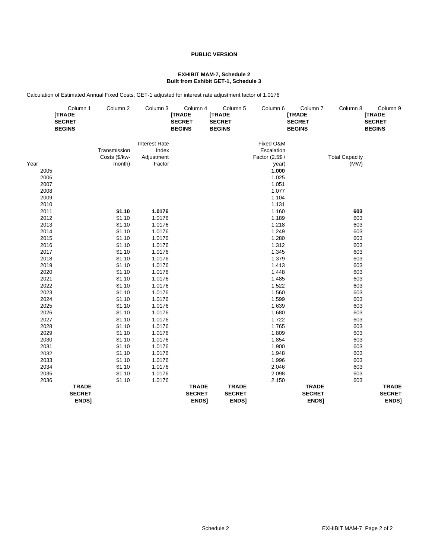#### **PUBLIC VERSION**

#### **EXHIBIT MAM-7, Schedule 2 Built from Exhibit GET-1, Schedule 3**

Calculation of Estimated Annual Fixed Costs, GET-1 adjusted for interest rate adjustment factor of 1.0176

|      | Column 1<br>[TRADE<br><b>SECRET</b><br><b>BEGINS</b> | Column 2      | Column 3             | Column 4<br>[TRADE<br><b>SECRET</b><br><b>BEGINS</b> | Column 5<br>[TRADE<br><b>SECRET</b><br><b>BEGINS</b> | Column 6        | Column <sub>7</sub><br>[TRADE<br><b>SECRET</b><br><b>BEGINS</b> | Column 8              | Column 9<br>[TRADE<br><b>SECRET</b><br><b>BEGINS</b> |
|------|------------------------------------------------------|---------------|----------------------|------------------------------------------------------|------------------------------------------------------|-----------------|-----------------------------------------------------------------|-----------------------|------------------------------------------------------|
|      |                                                      |               | <b>Interest Rate</b> |                                                      |                                                      | Fixed O&M       |                                                                 |                       |                                                      |
|      |                                                      | Transmission  | Index                |                                                      |                                                      | Escalation      |                                                                 |                       |                                                      |
|      |                                                      | Costs (\$/kw- | Adjustment           |                                                      |                                                      | Factor (2.5\$ / |                                                                 | <b>Total Capacity</b> |                                                      |
| Year |                                                      | month)        | Factor               |                                                      |                                                      | year)           |                                                                 | (MW)                  |                                                      |
| 2005 |                                                      |               |                      |                                                      |                                                      | 1.000           |                                                                 |                       |                                                      |
| 2006 |                                                      |               |                      |                                                      |                                                      | 1.025           |                                                                 |                       |                                                      |
| 2007 |                                                      |               |                      |                                                      |                                                      | 1.051           |                                                                 |                       |                                                      |
| 2008 |                                                      |               |                      |                                                      |                                                      | 1.077           |                                                                 |                       |                                                      |
| 2009 |                                                      |               |                      |                                                      |                                                      | 1.104           |                                                                 |                       |                                                      |
| 2010 |                                                      |               |                      |                                                      |                                                      | 1.131           |                                                                 |                       |                                                      |
| 2011 |                                                      | \$1.10        | 1.0176               |                                                      |                                                      | 1.160           |                                                                 | 603                   |                                                      |
| 2012 |                                                      | \$1.10        | 1.0176               |                                                      |                                                      | 1.189           |                                                                 | 603                   |                                                      |
| 2013 |                                                      | \$1.10        | 1.0176               |                                                      |                                                      | 1.218           |                                                                 | 603                   |                                                      |
| 2014 |                                                      | \$1.10        | 1.0176               |                                                      |                                                      | 1.249           |                                                                 | 603                   |                                                      |
| 2015 |                                                      | \$1.10        | 1.0176               |                                                      |                                                      | 1.280           |                                                                 | 603                   |                                                      |
| 2016 |                                                      | \$1.10        | 1.0176               |                                                      |                                                      | 1.312           |                                                                 | 603                   |                                                      |
| 2017 |                                                      | \$1.10        | 1.0176               |                                                      |                                                      | 1.345           |                                                                 | 603                   |                                                      |
| 2018 |                                                      | \$1.10        | 1.0176               |                                                      |                                                      | 1.379           |                                                                 | 603                   |                                                      |
| 2019 |                                                      | \$1.10        | 1.0176               |                                                      |                                                      | 1.413           |                                                                 | 603                   |                                                      |
| 2020 |                                                      | \$1.10        | 1.0176               |                                                      |                                                      | 1.448           |                                                                 | 603                   |                                                      |
| 2021 |                                                      | \$1.10        | 1.0176               |                                                      |                                                      | 1.485           |                                                                 | 603                   |                                                      |
| 2022 |                                                      | \$1.10        | 1.0176               |                                                      |                                                      | 1.522           |                                                                 | 603                   |                                                      |
| 2023 |                                                      | \$1.10        | 1.0176               |                                                      |                                                      | 1.560           |                                                                 | 603                   |                                                      |
| 2024 |                                                      | \$1.10        | 1.0176               |                                                      |                                                      | 1.599           |                                                                 | 603                   |                                                      |
| 2025 |                                                      | \$1.10        | 1.0176               |                                                      |                                                      | 1.639           |                                                                 | 603                   |                                                      |
| 2026 |                                                      | \$1.10        | 1.0176               |                                                      |                                                      | 1.680           |                                                                 | 603                   |                                                      |
| 2027 |                                                      | \$1.10        | 1.0176               |                                                      |                                                      | 1.722           |                                                                 | 603                   |                                                      |
| 2028 |                                                      | \$1.10        | 1.0176               |                                                      |                                                      | 1.765           |                                                                 | 603                   |                                                      |
| 2029 |                                                      | \$1.10        | 1.0176               |                                                      |                                                      | 1.809           |                                                                 | 603                   |                                                      |
| 2030 |                                                      | \$1.10        | 1.0176               |                                                      |                                                      | 1.854           |                                                                 | 603                   |                                                      |
| 2031 |                                                      | \$1.10        | 1.0176               |                                                      |                                                      | 1.900           |                                                                 | 603                   |                                                      |
| 2032 |                                                      | \$1.10        | 1.0176               |                                                      |                                                      | 1.948           |                                                                 | 603                   |                                                      |
| 2033 |                                                      | \$1.10        | 1.0176               |                                                      |                                                      | 1.996           |                                                                 | 603                   |                                                      |
| 2034 |                                                      | \$1.10        | 1.0176               |                                                      |                                                      | 2.046           |                                                                 | 603                   |                                                      |
| 2035 |                                                      | \$1.10        | 1.0176               |                                                      |                                                      | 2.098           |                                                                 | 603                   |                                                      |
| 2036 |                                                      | \$1.10        | 1.0176               |                                                      |                                                      | 2.150           |                                                                 | 603                   |                                                      |
|      | <b>TRADE</b><br><b>SECRET</b><br>ENDS]               |               |                      | <b>TRADE</b><br><b>SECRET</b><br><b>ENDS1</b>        | <b>TRADE</b><br><b>SECRET</b><br>ENDS]               |                 | <b>TRADE</b><br><b>SECRET</b><br>ENDS]                          |                       | <b>TRADE</b><br><b>SECRET</b><br><b>ENDS1</b>        |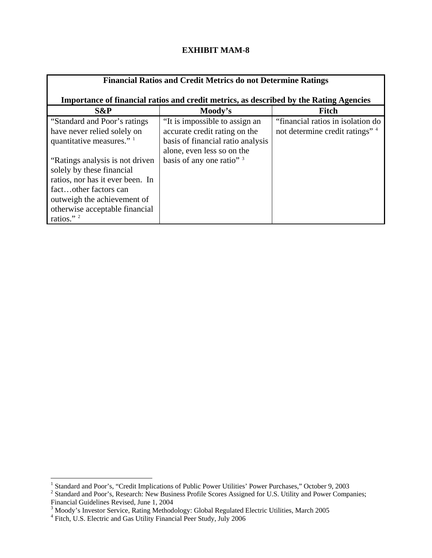<span id="page-12-0"></span>

| <b>Financial Ratios and Credit Metrics do not Determine Ratings</b>                    |                                   |                                   |  |  |  |  |  |  |  |  |
|----------------------------------------------------------------------------------------|-----------------------------------|-----------------------------------|--|--|--|--|--|--|--|--|
| Importance of financial ratios and credit metrics, as described by the Rating Agencies |                                   |                                   |  |  |  |  |  |  |  |  |
| $S\&P$                                                                                 | Moody's                           | <b>Fitch</b>                      |  |  |  |  |  |  |  |  |
| "Standard and Poor's ratings"                                                          | "It is impossible to assign an    | "financial ratios in isolation do |  |  |  |  |  |  |  |  |
| have never relied solely on                                                            | accurate credit rating on the     | not determine credit ratings" 4   |  |  |  |  |  |  |  |  |
| quantitative measures." 1                                                              | basis of financial ratio analysis |                                   |  |  |  |  |  |  |  |  |
|                                                                                        | alone, even less so on the        |                                   |  |  |  |  |  |  |  |  |
| "Ratings analysis is not driven"                                                       | basis of any one ratio" 3         |                                   |  |  |  |  |  |  |  |  |
| solely by these financial                                                              |                                   |                                   |  |  |  |  |  |  |  |  |
| ratios, nor has it ever been. In                                                       |                                   |                                   |  |  |  |  |  |  |  |  |
| factother factors can                                                                  |                                   |                                   |  |  |  |  |  |  |  |  |
| outweigh the achievement of                                                            |                                   |                                   |  |  |  |  |  |  |  |  |
| otherwise acceptable financial                                                         |                                   |                                   |  |  |  |  |  |  |  |  |
| ratios." $2$                                                                           |                                   |                                   |  |  |  |  |  |  |  |  |

<sup>&</sup>lt;sup>1</sup> Standard and Poor's, "Credit Implications of Public Power Utilities' Power Purchases," October 9, 2003<br><sup>2</sup> Standard and Poor's, Research: New Business Profile Scores Assigned for U.S. Utility and Power Companies;

Financial Guidelines Revised, June 1, 2004<br><sup>3</sup> Moody's Investor Service, Rating Methodology: Global Regulated Electric Utilities, March 2005<br><sup>4</sup> Fitch, U.S. Electric and Gas Utility Financial Peer Study, July 2006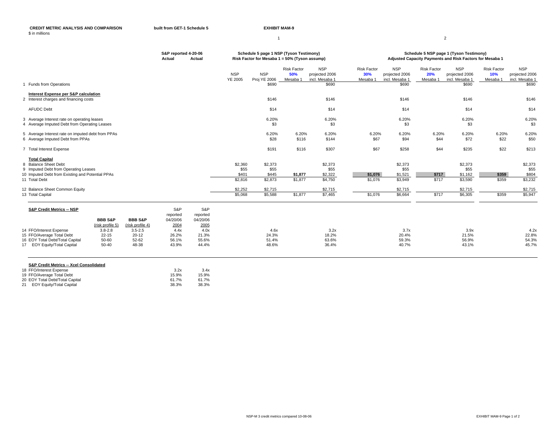|                                                                                             |                                        |                                        | S&P reported 4-20-06<br>Actual      | Actual                              | Schedule 5 page 1 NSP (Tyson Testimony)<br>Risk Factor for Mesaba 1 = 50% (Tyson assump) |                            | Schedule 5 NSP page 1 (Tyson Testimony)<br>Adjusted Capacity Payments and Risk Factors for Mesaba 1 |                                                |                                       |                                                |                                       |                                                |                                       |                                                |
|---------------------------------------------------------------------------------------------|----------------------------------------|----------------------------------------|-------------------------------------|-------------------------------------|------------------------------------------------------------------------------------------|----------------------------|-----------------------------------------------------------------------------------------------------|------------------------------------------------|---------------------------------------|------------------------------------------------|---------------------------------------|------------------------------------------------|---------------------------------------|------------------------------------------------|
|                                                                                             |                                        |                                        |                                     |                                     | <b>NSP</b><br><b>YE 2005</b>                                                             | <b>NSP</b><br>Proj YE 2006 | <b>Risk Factor</b><br>50%<br>Mesaba 1                                                               | <b>NSP</b><br>projected 2006<br>incl. Mesaba 1 | <b>Risk Factor</b><br>30%<br>Mesaba 1 | <b>NSP</b><br>projected 2006<br>incl. Mesaba 1 | <b>Risk Factor</b><br>20%<br>Mesaba 1 | <b>NSP</b><br>projected 2006<br>incl. Mesaba 1 | <b>Risk Factor</b><br>10%<br>Mesaba 1 | <b>NSP</b><br>projected 2006<br>incl. Mesaba 1 |
| 1 Funds from Operations                                                                     |                                        |                                        |                                     |                                     |                                                                                          | \$690                      |                                                                                                     | \$690                                          |                                       | \$690                                          |                                       | \$690                                          |                                       | \$690                                          |
| Interest Expense per S&P calculation<br>2 Interest charges and financing costs              |                                        |                                        |                                     |                                     |                                                                                          | \$146                      |                                                                                                     | \$146                                          |                                       | \$146                                          |                                       | \$146                                          |                                       | \$146                                          |
| <b>AFUDC Debt</b>                                                                           |                                        |                                        |                                     |                                     |                                                                                          | \$14                       |                                                                                                     | \$14                                           |                                       | \$14                                           |                                       | \$14                                           |                                       | \$14                                           |
| 3 Average Interest rate on operating leases<br>4 Average Imputed Debt from Operating Leases |                                        |                                        |                                     |                                     |                                                                                          | 6.20%<br>\$3               |                                                                                                     | 6.20%<br>\$3                                   |                                       | 6.20%<br>\$3                                   |                                       | 6.20%<br>\$3                                   |                                       | 6.20%<br>\$3                                   |
| 5 Average Interest rate on imputed debt from PPAs                                           |                                        |                                        |                                     |                                     |                                                                                          | 6.20%                      | 6.20%                                                                                               | 6.20%                                          | 6.20%                                 | 6.20%                                          | 6.20%                                 | 6.20%                                          | 6.20%                                 | 6.20%                                          |
| 6 Average Imputed Debt from PPAs                                                            |                                        |                                        |                                     |                                     |                                                                                          | \$28                       | \$116                                                                                               | \$144                                          | \$67                                  | \$94                                           | \$44                                  | \$72                                           | \$22                                  | \$50                                           |
| 7 Total Interest Expense                                                                    |                                        |                                        |                                     |                                     |                                                                                          | \$191                      | \$116                                                                                               | \$307                                          | \$67                                  | \$258                                          | \$44                                  | \$235                                          | \$22                                  | \$213                                          |
| <b>Total Capital</b><br>8 Balance Sheet Debt<br>9 Imputed Debt from Operating Leases        |                                        |                                        |                                     |                                     | \$2,360<br>\$55                                                                          | \$2,373<br>\$55            |                                                                                                     | \$2,373<br>\$55                                |                                       | \$2,373<br>\$55                                |                                       | \$2,373<br>\$55                                |                                       | \$2,373<br>\$55                                |
| 10 Imputed Debt from Existing and Potential PPAs<br>11 Total Debt                           |                                        |                                        |                                     |                                     | \$401<br>\$2,816                                                                         | \$445<br>\$2,873           | \$1,877<br>\$1,877                                                                                  | \$2,322                                        | \$1,076                               | \$1,521<br>\$3,949                             | \$717<br>\$717                        | \$1,162<br>\$3,590                             | \$359<br>\$359                        | \$804                                          |
|                                                                                             |                                        |                                        |                                     |                                     |                                                                                          |                            |                                                                                                     | \$4,750                                        | \$1,076                               |                                                |                                       |                                                |                                       | \$3,232                                        |
| 12 Balance Sheet Common Equity                                                              |                                        |                                        |                                     |                                     | \$2,252                                                                                  | \$2,715                    |                                                                                                     | \$2,715                                        |                                       | \$2,715                                        |                                       | \$2,715                                        |                                       | \$2,715                                        |
| 13 Total Capital                                                                            |                                        |                                        |                                     |                                     | \$5,068                                                                                  | \$5,588                    | \$1,877                                                                                             | \$7,465                                        | \$1,076                               | \$6,664                                        | \$717                                 | \$6,305                                        | \$359                                 | \$5,947                                        |
| S&P Credit Metrics -- NSP                                                                   | <b>BBB S&amp;P</b><br>(risk profile 5) | <b>BBB S&amp;P</b><br>(risk profile 4) | S&P<br>reported<br>04/20/06<br>2004 | S&P<br>reported<br>04/20/06<br>2005 |                                                                                          |                            |                                                                                                     |                                                |                                       |                                                |                                       |                                                |                                       |                                                |
| 14 FFO/Interest Expense                                                                     | $3.8 - 2.8$                            | $3.5 - 2.5$                            | 4.4x                                | 4.0x                                |                                                                                          | 4.6x                       |                                                                                                     | 3.2x                                           |                                       | 3.7x                                           |                                       | 3.9x                                           |                                       | 4.2x                                           |
| 15 FFO/Average Total Debt                                                                   | $22 - 15$                              | $20 - 12$                              | 26.2%                               | 21.3%                               |                                                                                          | 24.3%                      |                                                                                                     | 18.2%                                          |                                       | 20.4%                                          |                                       | 21.5%                                          |                                       | 22.8%                                          |
| 16 EOY Total Debt/Total Capital<br>17 EOY Equity/Total Capital                              | 50-60<br>50-40                         | 52-62<br>48-38                         | 56.1%<br>43.9%                      | 55.6%<br>44.4%                      |                                                                                          | 51.4%<br>48.6%             |                                                                                                     | 63.6%<br>36.4%                                 |                                       | 59.3%<br>40.7%                                 |                                       | 56.9%<br>43.1%                                 |                                       | 54.3%<br>45.7%                                 |

| <b>S&amp;P Credit Metrics -- Xcel Consolidated</b> |       |       |
|----------------------------------------------------|-------|-------|
| 18 FFO/Interest Expense                            | 3.2x  | 3.4x  |
| 19 FFO/Average Total Debt                          | 15.9% | 15.9% |
| 20 EOY Total Debt/Total Capital                    | 61.7% | 61.7% |
| <b>EOY Equity/Total Capital</b><br>21              | 38.3% | 38.3% |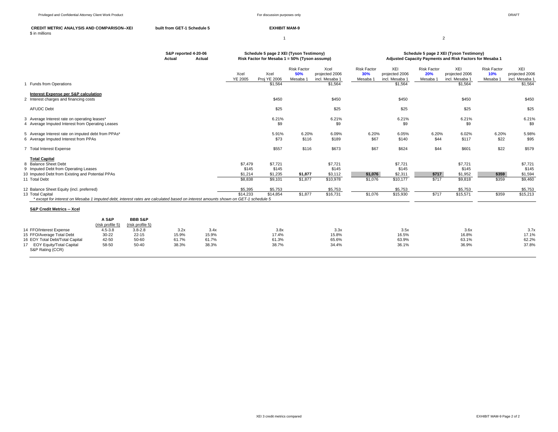#### **CREDIT METRIC ANALYSIS AND COMPARISON--XEI built from GET-1 Schedule 5**built from GET-1 Schedule 5 \$ in millions

**S&P reported 4-20-06**

#### **EXHIBIT MAM-9**

#### 1

| Schedule 5 page 2 XEI (Tyson Testimony)                  |
|----------------------------------------------------------|
| Adjusted Capacity Payments and Risk Factors for Mesaba 1 |

2

|                                                                                                                                                                                                                                                                                                                      | S&P reported 4-20-06<br>Actual  | Actual                          | Schedule 5 page 2 XEI (Tyson Testimony)<br>Risk Factor for Mesaba 1 = 50% (Tyson assump) |                                        |                                       |                                                     | Schedule 5 page 2 XEI (Tyson Testimony)<br>Adjusted Capacity Payments and Risk Factors for Mesaba 1 |                                                    |                                       |                                                    |                                       |                                                    |
|----------------------------------------------------------------------------------------------------------------------------------------------------------------------------------------------------------------------------------------------------------------------------------------------------------------------|---------------------------------|---------------------------------|------------------------------------------------------------------------------------------|----------------------------------------|---------------------------------------|-----------------------------------------------------|-----------------------------------------------------------------------------------------------------|----------------------------------------------------|---------------------------------------|----------------------------------------------------|---------------------------------------|----------------------------------------------------|
| <b>Funds from Operations</b>                                                                                                                                                                                                                                                                                         |                                 |                                 | Xcel<br><b>YE 2005</b>                                                                   | Xcel<br>Proj YE 2006<br>\$1,564        | <b>Risk Factor</b><br>50%<br>Mesaba 1 | Xcel<br>projected 2006<br>incl. Mesaba 1<br>\$1,564 | <b>Risk Factor</b><br>30%<br>Mesaba 1                                                               | XEI<br>projected 2006<br>incl. Mesaba 1<br>\$1,564 | <b>Risk Factor</b><br>20%<br>Mesaba 1 | XEI<br>projected 2006<br>incl. Mesaba 1<br>\$1,564 | <b>Risk Factor</b><br>10%<br>Mesaba 1 | XEI<br>projected 2006<br>incl. Mesaba 1<br>\$1,564 |
| Interest Expense per S&P calculation<br>2 Interest charges and financing costs                                                                                                                                                                                                                                       |                                 |                                 |                                                                                          | \$450                                  |                                       | \$450                                               |                                                                                                     | \$450                                              |                                       | \$450                                              |                                       | \$450                                              |
| <b>AFUDC Debt</b>                                                                                                                                                                                                                                                                                                    |                                 |                                 |                                                                                          | \$25                                   |                                       | \$25                                                |                                                                                                     | \$25                                               |                                       | \$25                                               |                                       | \$25                                               |
| 3 Average Interest rate on operating leases*<br>4 Average Imputed Interest from Operating Leases                                                                                                                                                                                                                     |                                 |                                 |                                                                                          | 6.21%<br>\$9                           |                                       | 6.21%<br>\$9                                        |                                                                                                     | 6.21%<br>\$9                                       |                                       | 6.21%<br>\$9                                       |                                       | 6.21%<br>\$9                                       |
| 5 Average Interest rate on imputed debt from PPAs*<br>6 Average Imputed Interest from PPAs                                                                                                                                                                                                                           |                                 |                                 |                                                                                          | 5.91%<br>\$73                          | 6.20%<br>\$116                        | 6.09%<br>\$189                                      | 6.20%<br>\$67                                                                                       | 6.05%<br>\$140                                     | 6.20%<br>\$44                         | 6.02%<br>\$117                                     | 6.20%<br>\$22                         | 5.98%<br>\$95                                      |
| 7 Total Interest Expense                                                                                                                                                                                                                                                                                             |                                 |                                 |                                                                                          | \$557                                  | \$116                                 | \$673                                               | \$67                                                                                                | \$624                                              | \$44                                  | \$601                                              | \$22                                  | \$579                                              |
| <b>Total Capital</b><br>8 Balance Sheet Debt<br>9 Imputed Debt from Operating Leases<br>10 Imputed Debt from Existing and Potential PPAs<br>11 Total Debt                                                                                                                                                            |                                 |                                 | \$7,479<br>\$145<br>\$1,214<br>\$8,838                                                   | \$7,721<br>\$145<br>\$1,235<br>\$9,101 | \$1,877<br>\$1,877                    | \$7,721<br>\$145<br>\$3,112<br>\$10,978             | \$1,076<br>\$1,076                                                                                  | \$7,721<br>\$145<br>\$2,311<br>\$10.177            | \$717<br>\$717                        | \$7,721<br>\$145<br>\$1,952<br>\$9,818             | \$359<br>\$359                        | \$7,721<br>\$145<br>\$1,594<br>\$9,460             |
| 12 Balance Sheet Equity (incl. preferred)<br>13 Total Capital<br>* except for interest on Mesaba 1 imputed debt, interest rates are calculated based on interest amounts shown on GET-1 schedule 5                                                                                                                   |                                 |                                 | \$5,395<br>\$14,233                                                                      | \$5.753<br>$\overline{$}14,854$        | \$1,877                               | \$5,753<br>\$16,731                                 | \$1,076                                                                                             | \$5,753<br>\$15,930                                | \$717                                 | \$5,753<br>\$15,571                                | \$359                                 | \$5,753<br>\$15,213                                |
| <b>S&amp;P Credit Metrics -- Xcel</b>                                                                                                                                                                                                                                                                                |                                 |                                 |                                                                                          |                                        |                                       |                                                     |                                                                                                     |                                                    |                                       |                                                    |                                       |                                                    |
| <b>BBB S&amp;P</b><br><b>A S&amp;P</b><br>(risk profile 5)<br>(risk profile 5)<br>$3.8 - 2.8$<br>14 FFO/Interest Expense<br>$4.5 - 3.8$<br>15 FFO/Average Total Debt<br>30-22<br>$22 - 15$<br>16 EOY Total Debt/Total Capital<br>42-50<br>50-60<br>50-40<br>17 EOY Equity/Total Capital<br>58-50<br>S&P Rating (CCR) | 3.2x<br>15.9%<br>61.7%<br>38.3% | 3.4x<br>15.9%<br>61.7%<br>38.3% |                                                                                          | 3.8x<br>17.4%<br>61.3%<br>38.7%        |                                       | 3.3x<br>15.8%<br>65.6%<br>34.4%                     |                                                                                                     | 3.5x<br>16.5%<br>63.9%<br>36.1%                    |                                       | 3.6x<br>16.8%<br>63.1%<br>36.9%                    |                                       | 3.7x<br>17.1%<br>62.2%<br>37.8%                    |